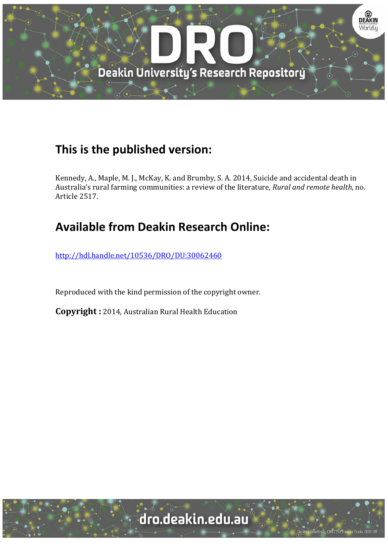

# **This is the published version:**

Kennedy, A., Maple, M. J., McKay, K. and Brumby, S. A. 2014, Suicide and accidental death in Australia's rural farming communities: a review of the literature, *Rural and remote health*, no. Article 2517. 

# **Available from Deakin Research Online:**

http://hdl.handle.net/10536/DRO/DU:30062460

Reproduced with the kind permission of the copyright owner.

**Copyright** : 2014, Australian Rural Health Education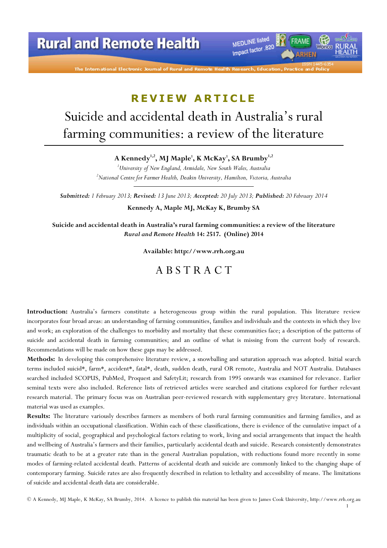

# REVIEW ARTICLE

# Suicide and accidental death in Australia's rural farming communities: a review of the literature

A Kennedy<sup>1,2</sup>, MJ Maple<sup>1</sup>, K McKay<sup>1</sup>, SA Brumby<sup>1,2</sup>

<sup>1</sup>University of New England, Armidale, New South Wales, Australia<br><sup>2</sup>National Contra for Farmar Haalth, Daobin University, Hamilton, Victoria  $^{2}$ National Centre for Farmer Health, Deakin University, Hamilton, Victoria, Australia

Submitted: 1 February 2013; Revised: 13 June 2013; Accepted: 20 July 2013; Published: 20 February 2014

Kennedy A, Maple MJ, McKay K, Brumby SA

Suicide and accidental death in Australia's rural farming communities: a review of the literature Rural and Remote Health 14: 2517. (Online) 2014

Available: http://www.rrh.org.au

## A B S T R A C T

Introduction: Australia's farmers constitute a heterogeneous group within the rural population. This literature review incorporates four broad areas: an understanding of farming communities, families and individuals and the contexts in which they live and work; an exploration of the challenges to morbidity and mortality that these communities face; a description of the patterns of suicide and accidental death in farming communities; and an outline of what is missing from the current body of research. Recommendations will be made on how these gaps may be addressed.

Methods: In developing this comprehensive literature review, a snowballing and saturation approach was adopted. Initial search terms included suicid\*, farm\*, accident\*, fatal\*, death, sudden death, rural OR remote, Australia and NOT Australia. Databases searched included SCOPUS, PubMed, Proquest and SafetyLit; research from 1995 onwards was examined for relevance. Earlier seminal texts were also included. Reference lists of retrieved articles were searched and citations explored for further relevant research material. The primary focus was on Australian peer-reviewed research with supplementary grey literature. International material was used as examples.

Results: The literature variously describes farmers as members of both rural farming communities and farming families, and as individuals within an occupational classification. Within each of these classifications, there is evidence of the cumulative impact of a multiplicity of social, geographical and psychological factors relating to work, living and social arrangements that impact the health and wellbeing of Australia's farmers and their families, particularly accidental death and suicide. Research consistently demonstrates traumatic death to be at a greater rate than in the general Australian population, with reductions found more recently in some modes of farming-related accidental death. Patterns of accidental death and suicide are commonly linked to the changing shape of contemporary farming. Suicide rates are also frequently described in relation to lethality and accessibility of means. The limitations of suicide and accidental death data are considerable.

© A Kennedy, MJ Maple, K McKay, SA Brumby, 2014. A licence to publish this material has been given to James Cook University, http://www.rrh.org.au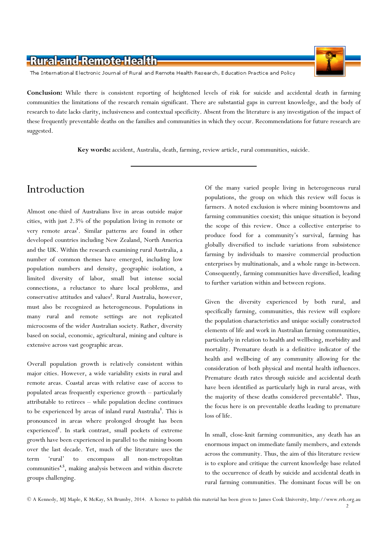

The International Electronic Journal of Rural and Remote Health Research, Education Practice and Policy

Conclusion: While there is consistent reporting of heightened levels of risk for suicide and accidental death in farming communities the limitations of the research remain significant. There are substantial gaps in current knowledge, and the body of research to date lacks clarity, inclusiveness and contextual specificity. Absent from the literature is any investigation of the impact of these frequently preventable deaths on the families and communities in which they occur. Recommendations for future research are suggested.

Key words: accident, Australia, death, farming, review article, rural communities, suicide.

## Introduction

Almost one-third of Australians live in areas outside major cities, with just 2.3% of the population living in remote or very remote areas<sup>1</sup>. Similar patterns are found in other developed countries including New Zealand, North America and the UK. Within the research examining rural Australia, a number of common themes have emerged, including low population numbers and density, geographic isolation, a limited diversity of labor, small but intense social connections, a reluctance to share local problems, and conservative attitudes and values<sup>2</sup>. Rural Australia, however, must also be recognized as heterogeneous. Populations in many rural and remote settings are not replicated microcosms of the wider Australian society. Rather, diversity based on social, economic, agricultural, mining and culture is extensive across vast geographic areas.

Overall population growth is relatively consistent within major cities. However, a wide variability exists in rural and remote areas. Coastal areas with relative ease of access to populated areas frequently experience growth – particularly attributable to retirees – while population decline continues to be experienced by areas of inland rural Australia<sup>3</sup>. This is pronounced in areas where prolonged drought has been experienced<sup>1</sup>. In stark contrast, small pockets of extreme growth have been experienced in parallel to the mining boom over the last decade. Yet, much of the literature uses the term 'rural' to encompass all non-metropolitan communities<sup>4,5</sup>, making analysis between and within discrete groups challenging.

Of the many varied people living in heterogeneous rural populations, the group on which this review will focus is farmers. A noted exclusion is where mining boomtowns and farming communities coexist; this unique situation is beyond the scope of this review. Once a collective enterprise to produce food for a community's survival, farming has globally diversified to include variations from subsistence farming by individuals to massive commercial production enterprises by multinationals, and a whole range in-between. Consequently, farming communities have diversified, leading to further variation within and between regions.

Given the diversity experienced by both rural, and specifically farming, communities, this review will explore the population characteristics and unique socially constructed elements of life and work in Australian farming communities, particularly in relation to health and wellbeing, morbidity and mortality. Premature death is a definitive indicator of the health and wellbeing of any community allowing for the consideration of both physical and mental health influences. Premature death rates through suicide and accidental death have been identified as particularly high in rural areas, with the majority of these deaths considered preventable<sup>6</sup>. Thus, the focus here is on preventable deaths leading to premature loss of life.

In small, close-knit farming communities, any death has an enormous impact on immediate family members, and extends across the community. Thus, the aim of this literature review is to explore and critique the current knowledge base related to the occurrence of death by suicide and accidental death in rural farming communities. The dominant focus will be on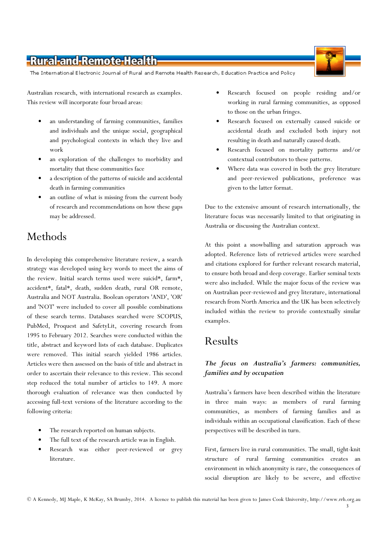The International Electronic Journal of Rural and Remote Health Research, Education Practice and Policy

Australian research, with international research as examples. This review will incorporate four broad areas:

- an understanding of farming communities, families and individuals and the unique social, geographical and psychological contexts in which they live and work
- an exploration of the challenges to morbidity and mortality that these communities face
- a description of the patterns of suicide and accidental death in farming communities
- an outline of what is missing from the current body of research and recommendations on how these gaps may be addressed.

# Methods

In developing this comprehensive literature review, a search strategy was developed using key words to meet the aims of the review. Initial search terms used were suicid\*, farm\*, accident\*, fatal\*, death, sudden death, rural OR remote, Australia and NOT Australia. Boolean operators 'AND', 'OR' and 'NOT' were included to cover all possible combinations of these search terms. Databases searched were SCOPUS, PubMed, Proquest and SafetyLit, covering research from 1995 to February 2012. Searches were conducted within the title, abstract and keyword lists of each database. Duplicates were removed. This initial search yielded 1986 articles. Articles were then assessed on the basis of title and abstract in order to ascertain their relevance to this review. This second step reduced the total number of articles to 149. A more thorough evaluation of relevance was then conducted by accessing full-text versions of the literature according to the following criteria:

- The research reported on human subjects.
- The full text of the research article was in English.
- Research was either peer-reviewed or grey literature.
- Research focused on people residing and/or working in rural farming communities, as opposed to those on the urban fringes.
- Research focused on externally caused suicide or accidental death and excluded both injury not resulting in death and naturally caused death.
- Research focused on mortality patterns and/or contextual contributors to these patterns.
- Where data was covered in both the grey literature and peer-reviewed publications, preference was given to the latter format.

Due to the extensive amount of research internationally, the literature focus was necessarily limited to that originating in Australia or discussing the Australian context.

At this point a snowballing and saturation approach was adopted. Reference lists of retrieved articles were searched and citations explored for further relevant research material, to ensure both broad and deep coverage. Earlier seminal texts were also included. While the major focus of the review was on Australian peer-reviewed and grey literature, international research from North America and the UK has been selectively included within the review to provide contextually similar examples.

# Results

#### The focus on Australia's farmers: communities, families and by occupation

Australia's farmers have been described within the literature in three main ways: as members of rural farming communities, as members of farming families and as individuals within an occupational classification. Each of these perspectives will be described in turn.

First, farmers live in rural communities. The small, tight-knit structure of rural farming communities creates an environment in which anonymity is rare, the consequences of social disruption are likely to be severe, and effective

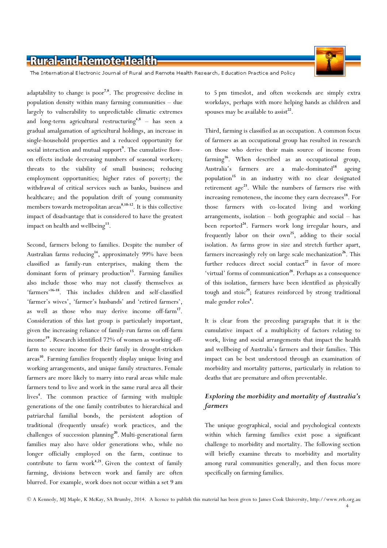

The International Electronic Journal of Rural and Remote Health Research, Education Practice and Policy

adaptability to change is poor<sup>7,8</sup>. The progressive decline in population density within many farming communities – due largely to vulnerability to unpredictable climatic extremes and long-term agricultural restructuring<sup>4,8</sup> - has seen a gradual amalgamation of agricultural holdings, an increase in single-household properties and a reduced opportunity for social interaction and mutual support<sup>9</sup>. The cumulative flowon effects include decreasing numbers of seasonal workers; threats to the viability of small business; reducing employment opportunities; higher rates of poverty; the withdrawal of critical services such as banks, business and healthcare; and the population drift of young community members towards metropolitan areas<sup>8,10-12</sup>. It is this collective impact of disadvantage that is considered to have the greatest impact on health and wellbeing<sup>13</sup>.

Second, farmers belong to families. Despite the number of Australian farms reducing<sup>14</sup>, approximately 99% have been classified as family-run enterprises, making them the dominant form of primary production<sup>15</sup>. Farming families also include those who may not classify themselves as 'farmers'16-18. This includes children and self-classified 'farmer's wives', 'farmer's husbands' and 'retired farmers', as well as those who may derive income off-farm<sup>17</sup>. Consideration of this last group is particularly important, given the increasing reliance of family-run farms on off-farm income<sup>19</sup>. Research identified 72% of women as working offfarm to secure income for their family in drought-stricken areas<sup>10</sup>. Farming families frequently display unique living and working arrangements, and unique family structures. Female farmers are more likely to marry into rural areas while male farmers tend to live and work in the same rural area all their lives<sup>4</sup>. The common practice of farming with multiple generations of the one family contributes to hierarchical and patriarchal familial bonds, the persistent adoption of traditional (frequently unsafe) work practices, and the challenges of succession planning<sup>20</sup>. Multi-generational farm families may also have older generations who, while no longer officially employed on the farm, continue to contribute to farm work $4,21$ . Given the context of family farming, divisions between work and family are often blurred. For example, work does not occur within a set 9 am

to 5 pm timeslot, and often weekends are simply extra workdays, perhaps with more helping hands as children and spouses may be available to assist<sup>22</sup>.

Third, farming is classified as an occupation. A common focus of farmers as an occupational group has resulted in research on those who derive their main source of income from farming<sup>16</sup>. When described as an occupational group, Australia's farmers are a male-dominated<sup>18</sup> ageing population<sup>15</sup> in an industry with no clear designated retirement age<sup>23</sup>. While the numbers of farmers rise with increasing remoteness, the income they earn decreases<sup>18</sup>. For those farmers with co-located living and working arrangements, isolation – both geographic and social – has been reported<sup>24</sup>. Farmers work long irregular hours, and frequently labor on their own<sup>25</sup>, adding to their social isolation. As farms grow in size and stretch further apart, farmers increasingly rely on large scale mechanization<sup>26</sup>. This further reduces direct social contact<sup>27</sup> in favor of more 'virtual' forms of communication<sup>28</sup>. Perhaps as a consequence of this isolation, farmers have been identified as physically tough and stoic $29$ ; features reinforced by strong traditional male gender roles<sup>4</sup>.

It is clear from the preceding paragraphs that it is the cumulative impact of a multiplicity of factors relating to work, living and social arrangements that impact the health and wellbeing of Australia's farmers and their families. This impact can be best understood through an examination of morbidity and mortality patterns, particularly in relation to deaths that are premature and often preventable.

#### Exploring the morbidity and mortality of Australia's farmers

The unique geographical, social and psychological contexts within which farming families exist pose a significant challenge to morbidity and mortality. The following section will briefly examine threats to morbidity and mortality among rural communities generally, and then focus more specifically on farming families.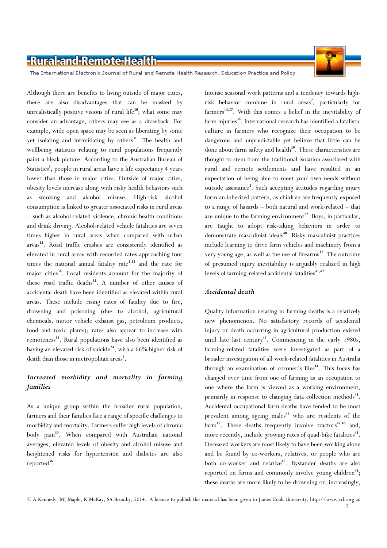

The International Electronic Journal of Rural and Remote Health Research, Education Practice and Policy

Although there are benefits to living outside of major cities, there are also disadvantages that can be masked by unrealistically positive visions of rural life $^{30}$ ; what some may consider an advantage, others may see as a drawback. For example, wide open space may be seen as liberating by some yet isolating and intimidating by others<sup>31</sup>. The health and wellbeing statistics relating to rural populations frequently paint a bleak picture. According to the Australian Bureau of Statistics<sup>3</sup>, people in rural areas have a life expectancy 4 years lower than those in major cities. Outside of major cities, obesity levels increase along with risky health behaviors such as smoking and alcohol misuse. High-risk alcohol consumption is linked to greater associated risks in rural areas – such as alcohol-related violence, chronic health conditions and drink driving. Alcohol-related vehicle fatalities are seven times higher in rural areas when compared with urban areas<sup>32</sup>. Road traffic crashes are consistently identified as elevated in rural areas with recorded rates approaching four times the national annual fatality rate<sup>3,33</sup> and the rate for major cities<sup>34</sup>. Local residents account for the majority of these road traffic deaths<sup>35</sup>. A number of other causes of accidental death have been identified as elevated within rural areas. These include rising rates of fatality due to fire, drowning and poisoning (due to alcohol, agricultural chemicals, motor vehicle exhaust gas, petroleum products, food and toxic plants); rates also appear to increase with remoteness<sup>33</sup>. Rural populations have also been identified as having an elevated risk of suicide<sup>24</sup>, with a 66% higher risk of death than those in metropolitan areas<sup>3</sup>.

#### Increased morbidity and mortality in farming families

As a unique group within the broader rural population, farmers and their families face a range of specific challenges to morbidity and mortality. Farmers suffer high levels of chronic body pain<sup>30</sup>. When compared with Australian national averages, elevated levels of obesity and alcohol misuse and heightened risks for hypertension and diabetes are also reported<sup>36</sup>.

Intense seasonal work patterns and a tendency towards highrisk behavior combine in rural areas<sup>2</sup>, particularly for farmers<sup>13,37</sup>. With this comes a belief in the inevitability of farm injuries<sup>38</sup>. International research has identified a fatalistic culture in farmers who recognize their occupation to be dangerous and unpredictable yet believe that little can be done about farm safety and health<sup>39</sup>. These characteristics are thought to stem from the traditional isolation associated with rural and remote settlements and have resulted in an expectation of being able to meet your own needs without outside assistance<sup>5</sup>. Such accepting attitudes regarding injury form an inherited pattern, as children are frequently exposed to a range of hazards – both natural and work-related – that are unique to the farming environment<sup>22</sup>. Boys, in particular, are taught to adopt risk-taking behaviors in order to demonstrate masculinist ideals<sup>40</sup>. Risky masculinist practices include learning to drive farm vehicles and machinery from a very young age, as well as the use of firearms<sup>37</sup>. The outcome of presumed injury inevitability is arguably realized in high levels of farming-related accidental fatalities<sup>41,42</sup>.

#### Accidental death

Quality information relating to farming deaths is a relatively new phenomenon. No satisfactory records of accidental injury or death occurring in agricultural production existed until late last century<sup>43</sup>. Commencing in the early 1980s, farming-related fatalities were investigated as part of a broader investigation of all work-related fatalities in Australia through an examination of coroner's files<sup>44</sup>. This focus has changed over time from one of farming as an occupation to one where the farm is viewed as a working environment, primarily in response to changing data collection methods<sup>45</sup>. Accidental occupational farm deaths have tended to be most prevalent among ageing males<sup>46</sup> who are residents of the farm<sup>45</sup>. These deaths frequently involve tractors<sup>47,48</sup> and, more recently, include growing rates of quad-bike fatalities<sup>43</sup>. Deceased workers are most likely to have been working alone and be found by co-workers, relatives, or people who are both co-worker and relative<sup>45</sup>. Bystander deaths are also reported on farms and commonly involve young children<sup>44</sup>; these deaths are more likely to be drowning or, increasingly,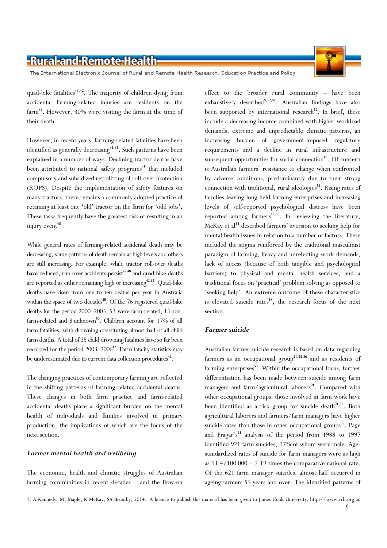The International Electronic Journal of Rural and Remote Health Research, Education Practice and Policy

quad-bike fatalities<sup>41,42</sup>. The majority of children dying from accidental farming-related injuries are residents on the farm<sup>49</sup>. However, 30% were visiting the farm at the time of their death.

However, in recent years, farming-related fatalities have been identified as generally decreasing<sup>41,45</sup>. Such patterns have been explained in a number of ways. Declining tractor deaths have been attributed to national safety programs<sup>45</sup> that included compulsory and subsidized retrofitting of roll-over protection (ROPS). Despite the implementation of safety features on many tractors, there remains a commonly adopted practice of retaining at least one 'old' tractor on the farm for 'odd jobs'. These tasks frequently have the greatest risk of resulting in an injury event<sup> $48$ </sup>.

While general rates of farming-related accidental death may be decreasing, some patterns of death remain at high levels and others are still increasing. For example, while tractor roll-over deaths have reduced, run-over accidents persist<sup>45,48</sup> and quad-bike deaths are reported as either remaining high or increasing  $42,43$ . Quad-bike deaths have risen from one to ten deaths per year in Australia within the space of two decades<sup>50</sup>. Of the 76 registered quad-bike deaths for the period 2000–2005, 53 were farm-related, 15 nonfarm-related and 8 unknown<sup>50</sup>. Children account for 17% of all farm fatalities, with drowning constituting almost half of all child farm deaths. A total of 25 child drowning fatalities have so far been recorded for the period  $2003-2006<sup>42</sup>$ . Farm fatality statistics may be underestimated due to current data collection procedures<sup>42</sup>.

The changing practices of contemporary farming are reflected in the shifting patterns of farming-related accidental deaths. These changes in both farm practice and farm-related accidental deaths place a significant burden on the mental health of individuals and families involved in primary production, the implications of which are the focus of the next section.

#### Farmer mental health and wellbeing

The economic, health and climatic struggles of Australian farming communities in recent decades – and the flow-on effect to the broader rural community – have been exhaustively described<sup>8,12,51</sup>. Australian findings have also been supported by international research<sup>52</sup>. In brief, these include a decreasing income combined with higher workload demands, extreme and unpredictable climatic patterns, an increasing burden of government-imposed regulatory requirements and a decline in rural infrastructure and subsequent opportunities for social connection $12$ . Of concern is Australian farmers' resistance to change when confronted by adverse conditions, predominantly due to their strong connection with traditional, rural ideologies<sup>53</sup>. Rising rates of families leaving long-held farming enterprises and increasing levels of self-reported psychological distress have been reported among farmers<sup>12,36</sup>. In reviewing the literature, McKay et al<sup>54</sup> described farmers' aversion to seeking help for mental health issues in relation to a number of factors. These included the stigma reinforced by the traditional masculinist paradigm of farming, heavy and unrelenting work demands, lack of access (because of both tangible and psychological barriers) to physical and mental health services, and a traditional focus on 'practical' problem solving as opposed to 'seeking help'. An extreme outcome of these characteristics is elevated suicide rates<sup>18</sup>, the research focus of the next section.

#### Farmer suicide

Australian farmer suicide research is based on data regarding farmers as an occupational group<sup>21,55,56</sup> and as residents of farming enterprises<sup>57</sup>. Within the occupational focus, further differentiation has been made between suicide among farm managers and farm/agricultural laborers<sup>21</sup>. Compared with other occupational groups, those involved in farm work have been identified as a risk group for suicide death<sup>21,55</sup>. Both agricultural laborers and farmers/farm managers have higher suicide rates than those in other occupational groups<sup>55</sup>. Page and Fragar's<sup>21</sup> analysis of the period from 1988 to 1997 identified 921 farm suicides, 97% of whom were male. Agestandardized rates of suicide for farm managers were as high as  $51.4/100 000 - 2.19$  times the comparative national rate. Of the 621 farm manager suicides, almost half occurred in ageing farmers 55 years and over. The identified patterns of

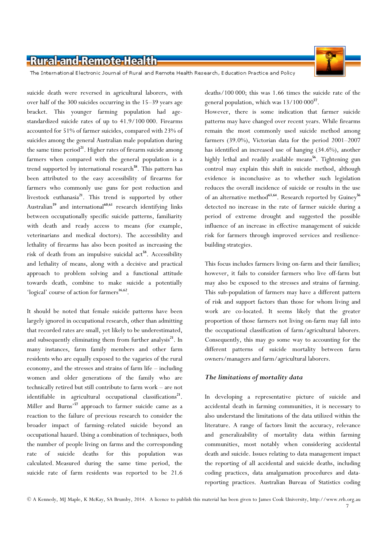

The International Electronic Journal of Rural and Remote Health Research, Education Practice and Policy

suicide death were reversed in agricultural laborers, with over half of the 300 suicides occurring in the 15–39 years age bracket. This younger farming population had agestandardized suicide rates of up to 41.9/100 000. Firearms accounted for 51% of farmer suicides, compared with 23% of suicides among the general Australian male population during the same time period $^{21}$ . Higher rates of firearm suicide among farmers when compared with the general population is a trend supported by international research<sup>58</sup>. This pattern has been attributed to the easy accessibility of firearms for farmers who commonly use guns for pest reduction and livestock euthanasia<sup>21</sup>. This trend is supported by other Australian<sup>59</sup> and international<sup>60,61</sup> research identifying links between occupationally specific suicide patterns, familiarity with death and ready access to means (for example, veterinarians and medical doctors). The accessibility and lethality of firearms has also been posited as increasing the risk of death from an impulsive suicidal act<sup>58</sup>. Accessibility and lethality of means, along with a decisive and practical approach to problem solving and a functional attitude towards death, combine to make suicide a potentially 'logical' course of action for farmers<sup>16,62</sup>.

It should be noted that female suicide patterns have been largely ignored in occupational research, other than admitting that recorded rates are small, yet likely to be underestimated, and subsequently eliminating them from further analysis<sup>21</sup>. In many instances, farm family members and other farm residents who are equally exposed to the vagaries of the rural economy, and the stresses and strains of farm life – including women and older generations of the family who are technically retired but still contribute to farm work – are not  $identifiable$  in agricultural occupational classifications<sup>21</sup>. Miller and Burns'<sup>57</sup> approach to farmer suicide came as a reaction to the failure of previous research to consider the broader impact of farming–related suicide beyond an occupational hazard. Using a combination of techniques, both the number of people living on farms and the corresponding rate of suicide deaths for this population was calculated. Measured during the same time period, the suicide rate of farm residents was reported to be 21.6

deaths/100 000; this was 1.66 times the suicide rate of the general population, which was  $13/100 000^{57}$ .

However, there is some indication that farmer suicide patterns may have changed over recent years. While firearms remain the most commonly used suicide method among farmers (39.0%), Victorian data for the period 2001–2007 has identified an increased use of hanging (34.6%), another highly lethal and readily available means<sup>56</sup>. Tightening gun control may explain this shift in suicide method, although evidence is inconclusive as to whether such legislation reduces the overall incidence of suicide or results in the use of an alternative method<sup>63,64</sup>. Research reported by Guiney<sup>56</sup> detected no increase in the rate of farmer suicide during a period of extreme drought and suggested the possible influence of an increase in effective management of suicide risk for farmers through improved services and resiliencebuilding strategies.

This focus includes farmers living on-farm and their families; however, it fails to consider farmers who live off-farm but may also be exposed to the stresses and strains of farming. This sub-population of farmers may have a different pattern of risk and support factors than those for whom living and work are co-located. It seems likely that the greater proportion of those farmers not living on-farm may fall into the occupational classification of farm/agricultural laborers. Consequently, this may go some way to accounting for the different patterns of suicide mortality between farm owners/managers and farm/agricultural laborers.

#### The limitations of mortality data

In developing a representative picture of suicide and accidental death in farming communities, it is necessary to also understand the limitations of the data utilized within the literature. A range of factors limit the accuracy, relevance and generalizability of mortality data within farming communities, most notably when considering accidental death and suicide. Issues relating to data management impact the reporting of all accidental and suicide deaths, including coding practices, data amalgamation procedures and datareporting practices. Australian Bureau of Statistics coding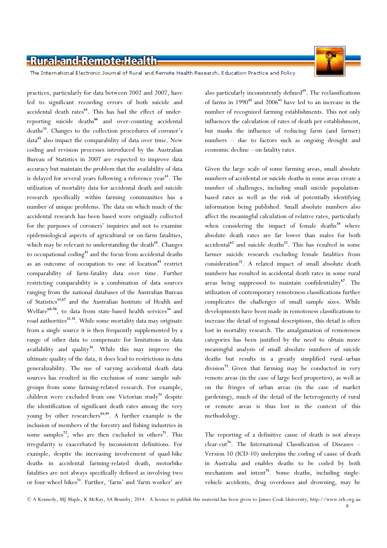

The International Electronic Journal of Rural and Remote Health Research, Education Practice and Policy

practices, particularly for data between 2002 and 2007, have led to significant recording errors of both suicide and accidental death rates<sup>65</sup>. This has had the effect of underreporting suicide deaths<sup>66</sup> and over-counting accidental deaths<sup>33</sup>. Changes to the collection procedures of coroner's data<sup>45</sup> also impact the comparability of data over time. New coding and revision processes introduced by the Australian Bureau of Statistics in 2007 are expected to improve data accuracy but maintain the problem that the availability of data is delayed for several years following a reference year<sup>41</sup>. The utilization of mortality data for accidental death and suicide research specifically within farming communities has a number of unique problems. The data on which much of the accidental research has been based were originally collected for the purposes of coroners' inquiries and not to examine epidemiological aspects of agricultural or on-farm fatalities, which may be relevant to understanding the death<sup>45</sup>. Changes to occupational  $\text{coding}^{41}$  and the focus from accidental deaths as an outcome of occupation to one of location<sup>45</sup> restrict comparability of farm-fatality data over time. Further restricting comparability is a combination of data sources ranging from the national databases of the Australian Bureau of Statistics<sup>33,67</sup> and the Australian Institute of Health and Welfare<sup>68-70</sup>, to data from state-based health services<sup>34</sup> and road authorities<sup>32,35</sup>. While some mortality data may originate from a single source it is then frequently supplemented by a range of other data to compensate for limitations in data availability and quality<sup>34</sup>. While this may improve the ultimate quality of the data, it does lead to restrictions in data generalizability. The use of varying accidental death data sources has resulted in the exclusion of some sample subgroups from some farming-related research. For example, children were excluded from one Victorian study<sup>71</sup> despite the identification of significant death rates among the very young by other researchers<sup>44,49</sup>. A further example is the inclusion of members of the forestry and fishing industries in some samples<sup>72</sup>, who are then excluded in others<sup>71</sup>. This irregularity is exacerbated by inconsistent definitions. For example, despite the increasing involvement of quad-bike deaths in accidental farming-related death, motorbike fatalities are not always specifically defined as involving two or four-wheel bikes<sup>71</sup>. Further, 'farm' and 'farm worker' are

also particularly inconsistently defined<sup>45</sup>. The reclassifications of farms in  $1990^{45}$  and  $2006^{41}$  have led to an increase in the number of recognized farming establishments. This not only influences the calculation of rates of death per establishment, but masks the influence of reducing farm (and farmer) numbers – due to factors such as ongoing drought and economic decline – on fatality rates.

Given the large scale of some farming areas, small absolute numbers of accidental or suicide deaths in some areas create a number of challenges, including small suicide populationbased rates as well as the risk of potentially identifying information being published. Small absolute numbers also affect the meaningful calculation of relative rates, particularly when considering the impact of female deaths<sup>18</sup> where absolute death rates are far lower than males for both accidental<sup>42</sup> and suicide deaths<sup>21</sup>. This has resulted in some farmer suicide research excluding female fatalities from consideration<sup>21</sup>. A related impact of small absolute death numbers has resulted in accidental death rates in some rural areas being suppressed to maintain confidentiality<sup>67</sup>. The utilization of contemporary remoteness classifications further complicates the challenges of small sample sizes. While developments have been made in remoteness classifications to increase the detail of regional descriptions, this detail is often lost in mortality research. The amalgamation of remoteness categories has been justified by the need to obtain more meaningful analysis of small absolute numbers of suicide deaths but results in a greatly simplified rural–urban division<sup>73</sup>. Given that farming may be conducted in very remote areas (in the case of large beef properties), as well as on the fringes of urban areas (in the case of market gardening), much of the detail of the heterogeneity of rural or remote areas is thus lost in the context of this methodology.

The reporting of a definitive cause of death is not always  $clear-cut<sup>74</sup>$ . The International Classification of Diseases – Version 10 (ICD-10) underpins the coding of cause of death in Australia and enables deaths to be coded by both mechanism and intent<sup>75</sup>. Some deaths, including singlevehicle accidents, drug overdoses and drowning, may be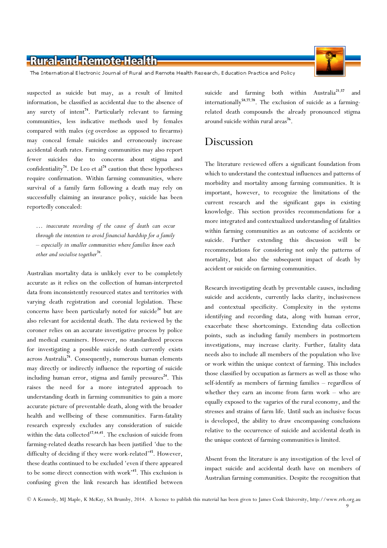

The International Electronic Journal of Rural and Remote Health Research, Education Practice and Policy

suspected as suicide but may, as a result of limited information, be classified as accidental due to the absence of any surety of intent<sup>74</sup>. Particularly relevant to farming communities, less indicative methods used by females compared with males (eg overdose as opposed to firearms) may conceal female suicides and erroneously increase accidental death rates. Farming communities may also report fewer suicides due to concerns about stigma and confidentiality<sup>74</sup>. De Leo et al<sup>74</sup> caution that these hypotheses require confirmation. Within farming communities, where survival of a family farm following a death may rely on successfully claiming an insurance policy, suicide has been reportedly concealed:

… inaccurate recording of the cause of death can occur through the intention to avoid financial hardship for a family – especially in smaller communities where families know each other and socialise together $^{76}$ .

Australian mortality data is unlikely ever to be completely accurate as it relies on the collection of human-interpreted data from inconsistently resourced states and territories with varying death registration and coronial legislation. These concerns have been particularly noted for suicide<sup>24</sup> but are also relevant for accidental death. The data reviewed by the coroner relies on an accurate investigative process by police and medical examiners. However, no standardized process for investigating a possible suicide death currently exists across Australia<sup>74</sup>. Consequently, numerous human elements may directly or indirectly influence the reporting of suicide including human error, stigma and family pressures $24$ . This raises the need for a more integrated approach to understanding death in farming communities to gain a more accurate picture of preventable death, along with the broader health and wellbeing of these communities. Farm-fatality research expressly excludes any consideration of suicide within the data collected<sup>17,44,45</sup>. The exclusion of suicide from farming-related deaths research has been justified 'due to the difficulty of deciding if they were work-related'<sup>45</sup>. However, these deaths continued to be excluded 'even if there appeared to be some direct connection with work'<sup>45</sup>. This exclusion is confusing given the link research has identified between

suicide and farming both within Australia<sup>21,57</sup> and internationally<sup>58,77,78</sup>. The exclusion of suicide as a farmingrelated death compounds the already pronounced stigma around suicide within rural areas<sup>76</sup>.

### Discussion

The literature reviewed offers a significant foundation from which to understand the contextual influences and patterns of morbidity and mortality among farming communities. It is important, however, to recognize the limitations of the current research and the significant gaps in existing knowledge. This section provides recommendations for a more integrated and contextualized understanding of fatalities within farming communities as an outcome of accidents or suicide. Further extending this discussion will be recommendations for considering not only the patterns of mortality, but also the subsequent impact of death by accident or suicide on farming communities.

Research investigating death by preventable causes, including suicide and accidents, currently lacks clarity, inclusiveness and contextual specificity. Complexity in the systems identifying and recording data, along with human error, exacerbate these shortcomings. Extending data collection points, such as including family members in postmortem investigations, may increase clarity. Further, fatality data needs also to include all members of the population who live or work within the unique context of farming. This includes those classified by occupation as farmers as well as those who self-identify as members of farming families – regardless of whether they earn an income from farm work – who are equally exposed to the vagaries of the rural economy, and the stresses and strains of farm life. Until such an inclusive focus is developed, the ability to draw encompassing conclusions relative to the occurrence of suicide and accidental death in the unique context of farming communities is limited.

Absent from the literature is any investigation of the level of impact suicide and accidental death have on members of Australian farming communities. Despite the recognition that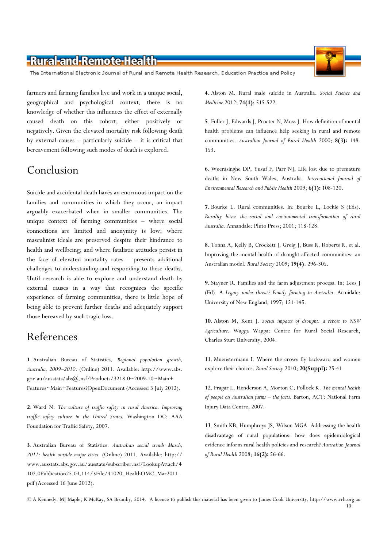The International Electronic Journal of Rural and Remote Health Research, Education Practice and Policy

farmers and farming families live and work in a unique social, geographical and psychological context, there is no knowledge of whether this influences the effect of externally caused death on this cohort, either positively or negatively. Given the elevated mortality risk following death by external causes – particularly suicide – it is critical that bereavement following such modes of death is explored.

# Conclusion

Suicide and accidental death haves an enormous impact on the families and communities in which they occur, an impact arguably exacerbated when in smaller communities. The unique context of farming communities – where social connections are limited and anonymity is low; where masculinist ideals are preserved despite their hindrance to health and wellbeing; and where fatalistic attitudes persist in the face of elevated mortality rates – presents additional challenges to understanding and responding to these deaths. Until research is able to explore and understand death by external causes in a way that recognizes the specific experience of farming communities, there is little hope of being able to prevent further deaths and adequately support those bereaved by such tragic loss.

# References

1. Australian Bureau of Statistics. Regional population growth, Australia, 2009–2010. (Online) 2011. Available: http://www.abs. gov.au/ausstats/abs@.nsf/Products/3218.0~2009-10~Main+ Features~Main+Features?OpenDocument (Accessed 3 July 2012).

2. Ward N. The culture of traffic safety in rural America. Improving traffic safety culture in the United States. Washington DC: AAA Foundation for Traffic Safety, 2007.

3. Australian Bureau of Statistics. Australian social trends March, 2011: health outside major cities. (Online) 2011. Available: http:// www.ausstats.abs.gov.au/ausstats/subscriber.nsf/LookupAttach/4 102.0Publication25.03.114/\$File/41020\_HealthOMC\_Mar2011. pdf (Accessed 16 June 2012).

4. Alston M. Rural male suicide in Australia. Social Science and Medicine 2012; 74(4): 515-522.

5. Fuller J, Edwards J, Procter N, Moss J. How definition of mental health problems can influence help seeking in rural and remote communities. Australian Journal of Rural Health 2000; 8(3): 148-153.

6. Weerasinghe DP, Yusuf F, Parr NJ. Life lost due to premature deaths in New South Wales, Australia. International Journal of Environmental Research and Public Health 2009; 6(1): 108-120.

7. Bourke L. Rural communities. In: Bourke L, Lockie S (Eds). Rurality bites: the social and environmental transformation of rural Australia. Annandale: Pluto Press; 2001; 118-128.

8. Tonna A, Kelly B, Crockett J, Greig J, Buss R, Roberts R, et al. Improving the mental health of drought-affected communities: an Australian model. Rural Society 2009; 19(4): 296-305.

9. Stayner R. Families and the farm adjustment process. In: Lees J (Ed). A Legacy under threat? Family farming in Australia. Armidale: University of New England, 1997; 121-145.

10. Alston M, Kent J. Social impacts of drought: a report to NSW Agriculture. Wagga Wagga: Centre for Rural Social Research, Charles Sturt University, 2004.

11. Muenstermann I. Where the crows fly backward and women explore their choices. Rural Society 2010; 20(Suppl): 25-41.

12. Fragar L, Henderson A, Morton C, Pollock K. The mental health of people on Australian farms – the facts. Barton, ACT: National Farm Injury Data Centre, 2007.

13. Smith KB, Humphreys JS, Wilson MGA. Addressing the health disadvantage of rural populations: how does epidemiological evidence inform rural health policies and research? Australian Journal of Rural Health 2008; 16(2): 56-66.



<sup>©</sup> A Kennedy, MJ Maple, K McKay, SA Brumby, 2014. A licence to publish this material has been given to James Cook University, http://www.rrh.org.au 10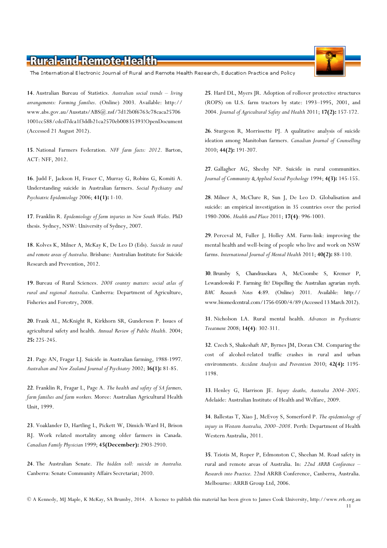The International Electronic Journal of Rural and Remote Health Research, Education Practice and Policy

14. Australian Bureau of Statistics. Australian social trends – living arrangements: Farming families. (Online) 2003. Available: http:// www.abs.gov.au/Ausstats/ABS@.nsf/7d12b0f6763c78caca25706 1001cc588/cdcd7dca1f3ddb21ca2570eb00835393!OpenDocument (Accessed 21 August 2012).

15. National Farmers Federation. NFF farm facts: 2012. Barton, ACT: NFF, 2012.

16. Judd F, Jackson H, Fraser C, Murray G, Robins G, Komiti A. Understanding suicide in Australian farmers. Social Psychiatry and Psychiatric Epidemiology 2006; 41(1): 1-10.

17. Franklin R. Epidemiology of farm injuries in New South Wales. PhD thesis. Sydney, NSW: University of Sydney, 2007.

18. Kolves K, Milner A, McKay K, De Leo D (Eds). Suicide in rural and remote areas of Australia. Brisbane: Australian Institute for Suicide Research and Prevention, 2012.

19. Bureau of Rural Sciences. 2008 country matters: social atlas of rural and regional Australia. Canberra: Department of Agriculture, Fisheries and Forestry, 2008.

20. Frank AL, McKnight R, Kirkhorn SR, Gunderson P. Issues of agricultural safety and health. Annual Review of Public Health. 2004; 25: 225-245.

21. Page AN, Fragar LJ. Suicide in Australian farming, 1988-1997. Australian and New Zealand Journal of Psychiatry 2002; 36(1): 81-85.

22. Franklin R, Fragar L, Page A. The health and safety of SA farmers, farm families and farm workers. Moree: Australian Agricultural Health Unit, 1999.

23. Voaklander D, Hartling L, Pickett W, Dimich-Ward H, Brison RJ. Work related mortality among older farmers in Canada. Canadian Family Physician 1999; 45(December): 2903-2910.

24. The Australian Senate. The hidden toll: suicide in Australia. Canberra: Senate Community Affairs Secretariat; 2010.

25. Hard DL, Myers JR. Adoption of rollover protective structures (ROPS) on U.S. farm tractors by state: 1993–1995, 2001, and 2004. Journal of Agricultural Safety and Health 2011; 17(2): 157-172.

26. Sturgeon R, Morrissette PJ. A qualitative analysis of suicide ideation among Manitoban farmers. Canadian Journal of Counselling 2010; 44(2): 191-207.

27. Gallagher AG, Sheehy NP. Suicide in rural communities. Journal of Community & Applied Social Psychology 1994; 4(3): 145-155.

28. Milner A, McClure R, Sun J, De Leo D. Globalisation and suicide: an empirical investigation in 35 countries over the period 1980-2006. Health and Place 2011; 17(4): 996-1003.

29. Perceval M, Fuller J, Holley AM. Farm-link: improving the mental health and well-being of people who live and work on NSW farms. International Journal of Mental Health 2011; 40(2): 88-110.

30. Brumby S, Chandrasekara A, McCoombe S, Kremer P, Lewandowski P. Farming fit? Dispelling the Australian agrarian myth. BMC Research Notes 4:89. (Online) 2011. Available: http:// www.biomedcentral.com/1756-0500/4/89 (Accessed 13 March 2012).

31. Nicholson LA. Rural mental health. Advances in Psychiatric Treatment 2008; 14(4): 302-311.

32. Czech S, Shakeshaft AP, Byrnes JM, Doran CM. Comparing the cost of alcohol-related traffic crashes in rural and urban environments. Accident Analysis and Prevention 2010; 42(4): 1195-1198.

33. Henley G, Harrison JE. Injury deaths, Australia 2004–2005. Adelaide: Australian Institute of Health and Welfare, 2009.

34. Ballestas T, Xiao J, McEvoy S, Somerford P. The epidemiology of injury in Western Australia, 2000–2008. Perth: Department of Health Western Australia, 2011.

35. Tziotis M, Roper P, Edmonston C, Sheehan M. Road safety in rural and remote areas of Australia. In: 22nd ARRB Conference – Research into Practice. 22nd ARRB Conference, Canberra, Australia. Melbourne: ARRB Group Ltd, 2006.

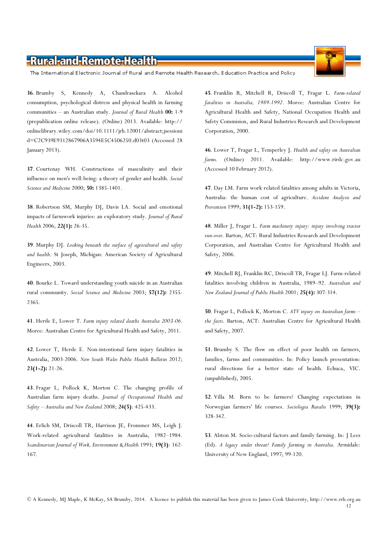The International Electronic Journal of Rural and Remote Health Research, Education Practice and Policy

36. Brumby S, Kennedy A, Chandrasekara A. Alcohol consumption, psychological distress and physical health in farming communities – an Australian study. Journal of Rural Health 00: 1-9 (prepublication online release). (Online) 2013. Available: http:// onlinelibrary.wiley.com/doi/10.1111/jrh.12001/abstract;jsessioni d=C2C939E9312867906A3594E5C4506250.d03t03 (Accessed 28 January 2013).

37. Courtenay WH. Constructions of masculinity and their influence on men's well-being: a theory of gender and health. Social Science and Medicine 2000; 50: 1385-1401.

38. Robertson SM, Murphy DJ, Davis LA. Social and emotional impacts of farmwork injuries: an exploratory study. Journal of Rural Health 2006; 22(1): 26-35.

39. Murphy DJ. Looking beneath the surface of agricultural and safety and health. St Joseph, Michigan: American Society of Agricultural Engineers, 2003.

40. Bourke L. Toward understanding youth suicide in an Australian rural community. Social Science and Medicine 2003; 57(12): 2355- 2365.

41. Herde E, Lower T. Farm injury related deaths Australia 2003-06. Moree: Australian Centre for Agricultural Health and Safety, 2011.

42. Lower T, Herde E. Non-intentional farm injury fatalities in Australia, 2003-2006. New South Wales Public Health Bulletin 2012; 23(1-2): 21-26.

43. Fragar L, Pollock K, Morton C. The changing profile of Australian farm injury deaths. Journal of Occupational Health and Safety – Australia and New Zealand 2008;  $24(5)$ : 425-433.

44. Erlich SM, Driscoll TR, Harrison JE, Frommer MS, Leigh J. Work-related agricultural fatalities in Australia, 1982–1984. Scandinavian Journal of Work, Environment & Health 1993; 19(3): 162- 167.

45. Franklin R, Mitchell R, Driscoll T, Fragar L. Farm-related fatalities in Australia, 1989-1992. Moree: Australian Centre for Agricultural Health and Safety, National Occupation Health and Safety Commision, and Rural Industries Research and Development Corporation, 2000.

46. Lower T, Fragar L, Temperley J. Health and safety on Australian farms. (Online) 2011. Available: http://www.rirdc.gov.au (Accessed 10 February 2012).

47. Day LM. Farm work related fatalities among adults in Victoria, Australia: the human cost of agriculture. Accident Analysis and Prevention 1999; 31(1-2): 153-159.

48. Miller J, Fragar L. Farm machinery injury: injury involving tractor run-over. Barton, ACT: Rural Industries Research and Development Corporation, and Australian Centre for Agricultural Health and Safety, 2006.

49. Mitchell RJ, Franklin RC, Driscoll TR, Fragar LJ. Farm-related fatalities involving children in Australia, 1989–92. Australian and New Zealand Journal of Public Health 2001; 25(4): 307-314.

50. Fragar L, Pollock K, Morton C. ATV injury on Australian farms the facts. Barton, ACT: Australian Centre for Agricultural Health and Safety, 2007.

51. Brumby S. The flow on effect of poor health on farmers, families, farms and communities. In: Policy launch presentation: rural directions for a better state of health. Echuca, VIC. (unpublished), 2005.

52. Villa M. Born to be farmers? Changing expectations in Norwegian farmers' life courses. Sociologia Ruralis 1999; 39(3): 328-342.

53. Alston M. Socio-cultural factors and family farming. In: J Lees (Ed). A legacy under threat? Family farming in Australia. Armidale: University of New England, 1997; 99-120.

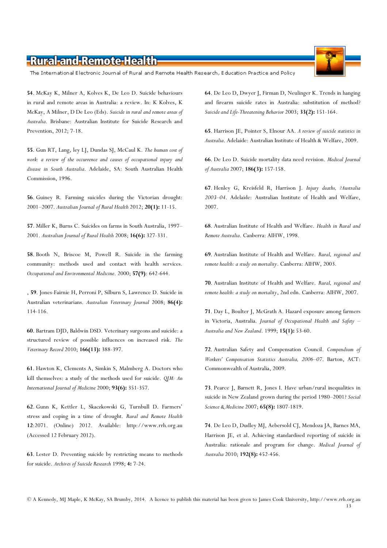The International Electronic Journal of Rural and Remote Health Research, Education Practice and Policy

54. McKay K, Milner A, Kolves K, De Leo D. Suicide behaviours in rural and remote areas in Australia: a review. In: K Kolves, K McKay, A Milner, D De Leo (Eds). Suicide in rural and remote areas of Australia. Brisbane: Australian Institute for Suicide Research and Prevention, 2012; 7-18.

55. Gun RT, Lang, ley LJ, Dundas SJ, McCaul K. The human cost of work: a review of the occurrence and causes of occupational injury and disease in South Australia. Adelaide, SA: South Australian Health Commission, 1996.

56. Guiney R. Farming suicides during the Victorian drought: 2001–2007. Australian Journal of Rural Health 2012; 20(1): 11-15.

57. Miller K, Burns C. Suicides on farms in South Australia, 1997– 2001. Australian Journal of Rural Health 2008; 16(6): 327-331.

58. Booth N, Briscoe M, Powell R. Suicide in the farming community: methods used and contact with health services. Occupational and Environmental Medicine. 2000; 57(9): 642-644.

, 59. Jones-Fairnie H, Perroni P, Silburn S, Lawrence D. Suicide in Australian veterinarians. Australian Veterinary Journal 2008; 86(4): 114-116.

60. Bartram DJD, Baldwin DSD. Veterinary surgeons and suicide: a structured review of possible influences on increased risk. The Veterinary Record 2010; 166(13): 388-397.

61. Hawton K, Clements A, Simkin S, Malmberg A. Doctors who kill themselves: a study of the methods used for suicide. Q[M: An International Journal of Medicine 2000; 93(6): 351-357.

62. Gunn K, Kettler L, Skaczkowski G, Turnbull D. Farmers' stress and coping in a time of drought. Rural and Remote Health 12:2071. (Online) 2012. Available: http://www.rrh.org.au (Accessed 12 February 2012).

63. Lester D. Preventing suicide by restricting means to methods for suicide. Archives of Suicide Research 1998; 4: 7-24.

64. De Leo D, Dwyer J, Firman D, Neulinger K. Trends in hanging and firearm suicide rates in Australia: substitution of method? Suicide and Life-Threatening Behavior 2003; 33(2): 151-164.

65. Harrison JE, Pointer S, Elnour AA. A review of suicide statistics in Australia. Adelaide: Australian Institute of Health & Welfare, 2009.

66. De Leo D. Suicide mortality data need revision. Medical Journal of Australia 2007; 186(3): 157-158.

67. Henley G, Kreisfeld R, Harrison J. Injury deaths, ?Australia 2003–04. Adelaide: Australian Institute of Health and Welfare, 2007.

68. Australian Institute of Health and Welfare. Health in Rural and Remote Australia. Canberra: AIHW, 1998.

69. Australian Institute of Health and Welfare. Rural, regional and remote health: a study on mortality. Canberra: AIHW, 2003.

70. Australian Institute of Health and Welfare. Rural, regional and remote health: a study on mortality, 2nd edn. Canberra: AIHW, 2007.

71. Day L, Boulter J, McGrath A. Hazard exposure among farmers in Victoria, Australia. Journal of Occupational Health and Safety – Australia and New Zealand. 1999; 15(1): 53-60.

72. Australian Safety and Compensation Council. Compendium of Workers' Compensation Statistics Australia, 2006–07. Barton, ACT: Commonwealth of Australia, 2009.

73. Pearce J, Barnett R, Jones I. Have urban/rural inequalities in suicide in New Zealand grown during the period 1980-2001? Social Science & Medicine 2007; 65(8): 1807-1819.

74. De Leo D, Dudley MJ, Aebersold CJ, Mendoza JA, Barnes MA, Harrison JE, et al. Achieving standardised reporting of suicide in Australia: rationale and program for change. Medical Journal of Australia 2010; 192(8): 452-456.